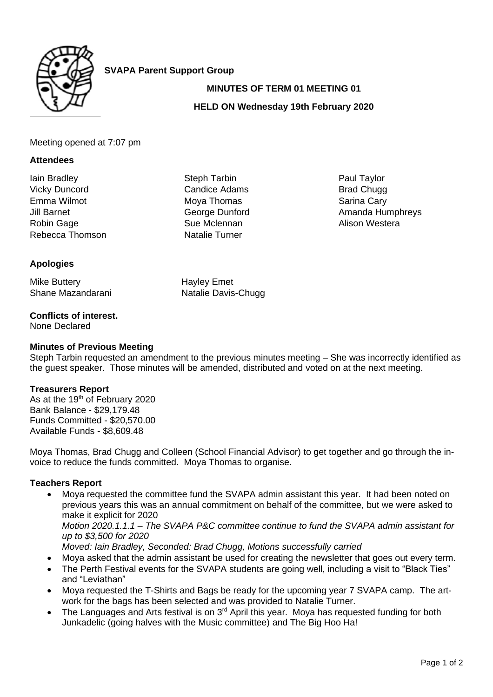

**SVAPA Parent Support Group**

# **MINUTES OF TERM 01 MEETING 01**

# **HELD ON Wednesday 19th February 2020**

#### Meeting opened at 7:07 pm

#### **Attendees**

Iain Bradley Vicky Duncord Emma Wilmot Jill Barnet Robin Gage Rebecca Thomson

# **Apologies**

Mike Buttery Shane Mazandarani

#### **Conflicts of interest.**

None Declared

### **Minutes of Previous Meeting**

Steph Tarbin requested an amendment to the previous minutes meeting – She was incorrectly identified as the guest speaker. Those minutes will be amended, distributed and voted on at the next meeting.

#### **Treasurers Report**

As at the 19<sup>th</sup> of February 2020 Bank Balance - \$29,179.48 Funds Committed - \$20,570.00 Available Funds - \$8,609.48

Moya Thomas, Brad Chugg and Colleen (School Financial Advisor) to get together and go through the invoice to reduce the funds committed. Moya Thomas to organise.

# **Teachers Report**

- Mova requested the committee fund the SVAPA admin assistant this year. It had been noted on previous years this was an annual commitment on behalf of the committee, but we were asked to make it explicit for 2020 *Motion 2020.1.1.1 – The SVAPA P&C committee continue to fund the SVAPA admin assistant for up to \$3,500 for 2020 Moved: Iain Bradley, Seconded: Brad Chugg, Motions successfully carried*
- Moya asked that the admin assistant be used for creating the newsletter that goes out every term.
- The Perth Festival events for the SVAPA students are going well, including a visit to "Black Ties" and "Leviathan"
- Moya requested the T-Shirts and Bags be ready for the upcoming year 7 SVAPA camp. The artwork for the bags has been selected and was provided to Natalie Turner.
- The Languages and Arts festival is on  $3<sup>rd</sup>$  April this year. Moya has requested funding for both Junkadelic (going halves with the Music committee) and The Big Hoo Ha!

Steph Tarbin Candice Adams Moya Thomas George Dunford Sue Mclennan Natalie Turner

Hayley Emet

Natalie Davis-Chugg

Paul Taylor Brad Chugg Sarina Cary Amanda Humphreys Alison Westera